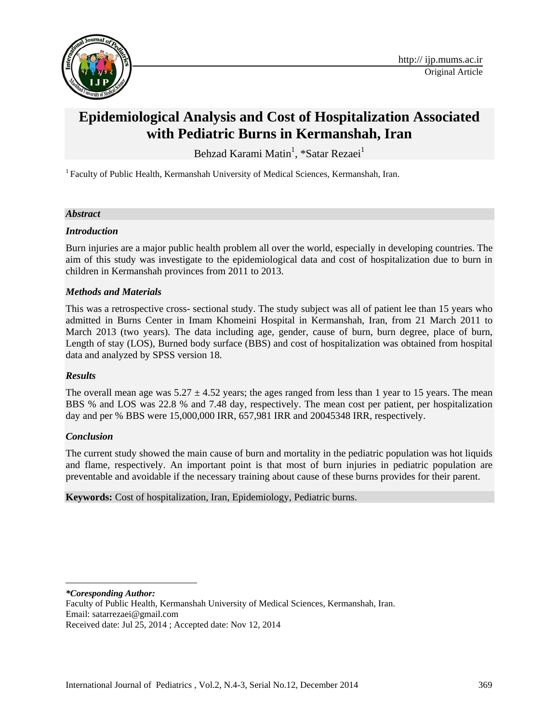

# **Epidemiological Analysis and Cost of Hospitalization Associated with Pediatric Burns in Kermanshah, Iran**

Behzad Karami Matin<sup>1</sup>, \*Satar Rezaei<sup>1</sup>

<sup>1</sup> Faculty of Public Health, Kermanshah University of Medical Sciences, Kermanshah, Iran.

## *Abstract*

## *Introduction*

Burn injuries are a major public health problem all over the world, especially in developing countries. The aim of this study was investigate to the epidemiological data and cost of hospitalization due to burn in children in Kermanshah provinces from 2011 to 2013.

## *Methods and Materials*

This was a retrospective cross- sectional study. The study subject was all of patient lee than 15 years who admitted in Burns Center in Imam Khomeini Hospital in Kermanshah, Iran, from 21 March 2011 to March 2013 (two years). The data including age, gender, cause of burn, burn degree, place of burn, Length of stay (LOS), Burned body surface (BBS) and cost of hospitalization was obtained from hospital data and analyzed by SPSS version 18.

## *Results*

The overall mean age was  $5.27 \pm 4.52$  years; the ages ranged from less than 1 year to 15 years. The mean BBS % and LOS was 22.8 % and 7.48 day, respectively. The mean cost per patient, per hospitalization day and per % BBS were 15,000,000 IRR, 657,981 IRR and 20045348 IRR, respectively.

#### *Conclusion*

The current study showed the main cause of burn and mortality in the pediatric population was hot liquids and flame, respectively. An important point is that most of burn injuries in pediatric population are preventable and avoidable if the necessary training about cause of these burns provides for their parent.

#### **Keywords:** Cost of hospitalization, Iran, Epidemiology, Pediatric burns.

*\*Coresponding Author:*

 $\overline{\phantom{a}}$ 

Faculty of Public Health, Kermanshah University of Medical Sciences, Kermanshah, Iran. Email: [satarrezaei@gmail.com](mailto:satarrezaei@gmail.com) 

Received date: Jul 25, 2014 ; Accepted date: Nov 12, 2014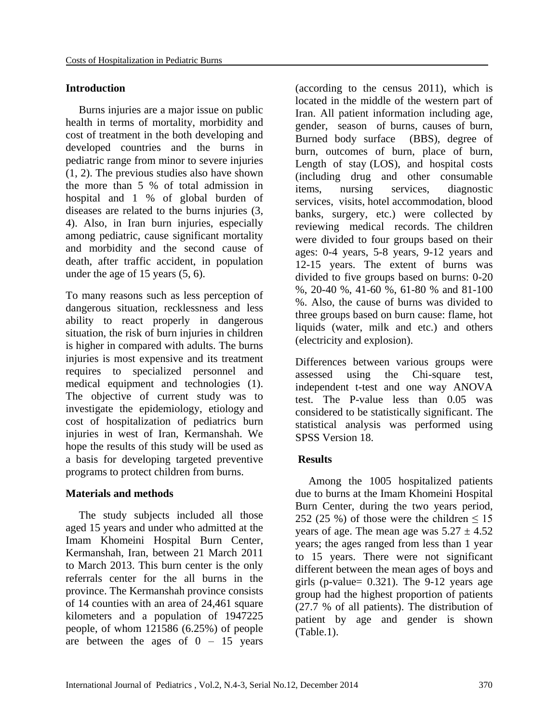## **Introduction**

Burns injuries are a major issue on public health in terms of mortality, morbidity and cost of treatment in the both developing and developed countries and the burns in pediatric range from minor to severe injuries [\(1,](#page-6-0) [2\)](#page-6-1). The previous studies also have shown the more than 5 % of total admission in hospital and 1 % of global burden of diseases are related to the burns injuries [\(3,](#page-6-2) [4\)](#page-6-3). Also, in Iran burn injuries, especially among pediatric, cause significant mortality and morbidity and the second cause of death, after traffic accident, in population under the age of 15 years [\(5,](#page-6-4) [6\)](#page-6-5).

To many reasons such as less perception of dangerous situation, recklessness and less ability to react properly in dangerous situation, the risk of burn injuries in children is higher in compared with adults. The burns injuries is most expensive and its treatment requires to specialized personnel and medical equipment and technologies [\(1\)](#page-6-0). The objective of current study was to investigate the epidemiology, etiology and cost of hospitalization of pediatrics burn injuries in west of Iran, Kermanshah. We hope the results of this study will be used as a basis for developing targeted preventive programs to protect children from burns.

## **Materials and methods**

The study subjects included all those aged 15 years and under who admitted at the Imam Khomeini Hospital Burn Center, Kermanshah, Iran, between 21 March 2011 to March 2013. This burn center is the only referrals center for the all burns in the province. The Kermanshah province consists of 14 counties with an area of 24,461 square kilometers and a population of 1947225 people, of whom 121586 (6.25%) of people are between the ages of  $0 - 15$  years

(according to the census 2011), which is located in the middle of the western part of Iran. All patient information including age, gender, season of burns, causes of burn, Burned body surface (BBS), degree of burn, outcomes of burn, place of burn, Length of stay (LOS), and hospital costs (including drug and other consumable items, nursing services, diagnostic services, visits, hotel accommodation, blood banks, surgery, etc.) were collected by reviewing medical records. The children were divided to four groups based on their ages: 0-4 years, 5-8 years, 9-12 years and 12-15 years. The extent of burns was divided to five groups based on burns: 0-20 %, 20-40 %, 41-60 %, 61-80 % and 81-100 %. Also, the cause of burns was divided to three groups based on burn cause: flame, hot liquids (water, milk and etc.) and others (electricity and explosion).

Differences between various groups were assessed using the Chi-square test, independent t-test and one way ANOVA test. The P-value less than 0.05 was considered to be statistically significant. The statistical analysis was performed using SPSS Version 18.

# **Results**

Among the 1005 hospitalized patients due to burns at the Imam Khomeini Hospital Burn Center, during the two years period, 252 (25 %) of those were the children  $\leq 15$ years of age. The mean age was  $5.27 \pm 4.52$ years; the ages ranged from less than 1 year to 15 years. There were not significant different between the mean ages of boys and girls (p-value=  $0.321$ ). The 9-12 years age group had the highest proportion of patients (27.7 % of all patients). The distribution of patient by age and gender is shown (Table.1).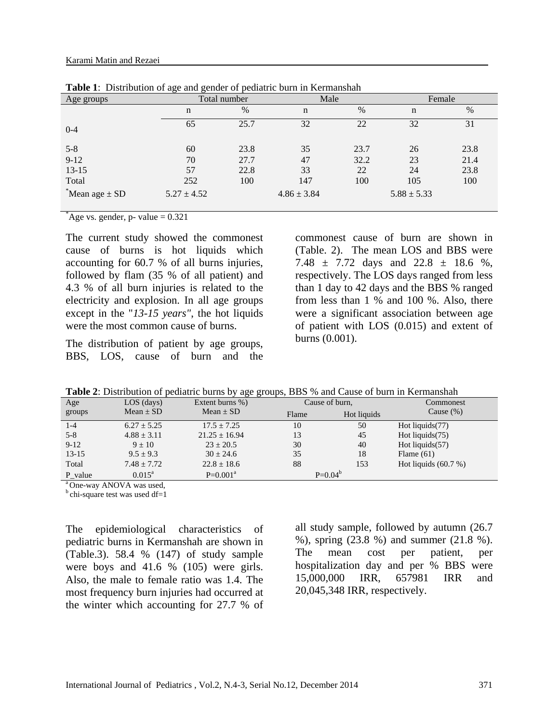| Age groups            |                 | Total number | Male            |      | Female          |      |  |
|-----------------------|-----------------|--------------|-----------------|------|-----------------|------|--|
|                       | n               | $\%$         | n               | $\%$ | $\mathbf n$     | $\%$ |  |
| $0 - 4$               | 65              | 25.7         | 32              | 22   | 32              | 31   |  |
| $5 - 8$               | 60              | 23.8         | 35              | 23.7 | 26              | 23.8 |  |
| $9-12$                | 70              | 27.7         | 47              | 32.2 | 23              | 21.4 |  |
| $13 - 15$             | 57              | 22.8         | 33              | 22   | 24              | 23.8 |  |
| Total                 | 252             | 100          | 147             | 100  | 105             | 100  |  |
| $*$ Mean age $\pm$ SD | $5.27 \pm 4.52$ |              | $4.86 \pm 3.84$ |      | $5.88 \pm 5.33$ |      |  |

**Table 1**: Distribution of age and gender of pediatric burn in Kermanshah

 $A$ ge vs. gender, p- value = 0.321

The current study showed the commonest cause of burns is hot liquids which accounting for 60.7 % of all burns injuries, followed by flam (35 % of all patient) and 4.3 % of all burn injuries is related to the electricity and explosion. In all age groups except in the "*13-15 years"*, the hot liquids were the most common cause of burns.

The distribution of patient by age groups, BBS, LOS, cause of burn and the

commonest cause of burn are shown in (Table. 2). The mean LOS and BBS were 7.48  $\pm$  7.72 days and 22.8  $\pm$  18.6 %, respectively. The LOS days ranged from less than 1 day to 42 days and the BBS % ranged from less than 1 % and 100 %. Also, there were a significant association between age of patient with LOS (0.015) and extent of burns (0.001).

**Table 2**: Distribution of pediatric burns by age groups, BBS % and Cause of burn in Kermanshah

| Age     | $LOS$ (days)    | Extent burns %)   |       | Cause of burn, | Commonest              |  |
|---------|-----------------|-------------------|-------|----------------|------------------------|--|
| groups  | Mean $\pm$ SD   | Mean $\pm$ SD     | Flame | Hot liquids    | Cause $(\%)$           |  |
| $1 - 4$ | $6.27 \pm 5.25$ | $17.5 \pm 7.25$   | 10    | 50             | Hot liquids $(77)$     |  |
| $5 - 8$ | $4.88 \pm 3.11$ | $21.25 \pm 16.94$ | 13    | 45             | Hot liquids $(75)$     |  |
| $9-12$  | $9 \pm 10$      | $23 \pm 20.5$     | 30    | 40             | Hot liquids $(57)$     |  |
| $13-15$ | $9.5 \pm 9.3$   | $30 \pm 24.6$     | 35    | 18             | Flame $(61)$           |  |
| Total   | $7.48 + 7.72$   | $22.8 \pm 18.6$   | 88    | 153            | Hot liquids $(60.7\%)$ |  |
| P value | $0.015^{\rm a}$ | $P=0.001^a$       |       | $P=0.04^{b}$   |                        |  |

<sup>a</sup>One-way ANOVA was used.

 $<sup>b</sup>$ chi-square test was used df=1</sup>

The epidemiological characteristics of pediatric burns in Kermanshah are shown in (Table.3). 58.4 % (147) of study sample were boys and 41.6 % (105) were girls. Also, the male to female ratio was 1.4. The most frequency burn injuries had occurred at the winter which accounting for 27.7 % of

all study sample, followed by autumn (26.7 %), spring (23.8 %) and summer (21.8 %). The mean cost per patient, per hospitalization day and per % BBS were 15,000,000 IRR, 657981 IRR and 20,045,348 IRR, respectively.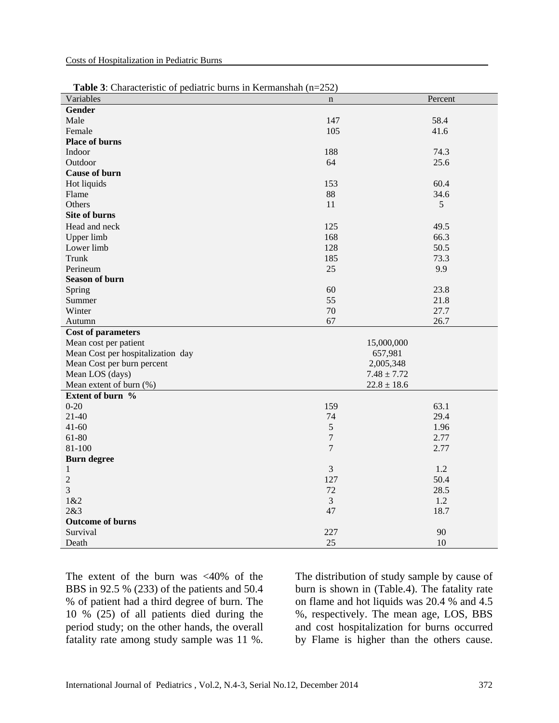| Variables                                  | $\bf n$        | Percent                      |
|--------------------------------------------|----------------|------------------------------|
| <b>Gender</b>                              |                |                              |
| Male                                       | 147            | 58.4                         |
| Female                                     | 105            | 41.6                         |
| <b>Place of burns</b>                      |                |                              |
| Indoor                                     | 188            | 74.3                         |
| Outdoor                                    | 64             | 25.6                         |
| <b>Cause of burn</b>                       |                |                              |
| Hot liquids                                | 153            | 60.4                         |
| Flame                                      | 88             | 34.6                         |
| Others                                     | 11             | 5                            |
| <b>Site of burns</b>                       |                |                              |
| Head and neck                              | 125            | 49.5                         |
| Upper limb                                 | 168            | 66.3                         |
| Lower limb                                 | 128            | 50.5                         |
| Trunk                                      | 185            | 73.3                         |
| Perineum                                   | 25             | 9.9                          |
| <b>Season of burn</b>                      |                |                              |
| Spring                                     | 60             | 23.8                         |
| Summer                                     | 55             | 21.8                         |
| Winter                                     | 70             | 27.7                         |
| Autumn                                     | 67             | 26.7                         |
|                                            |                |                              |
|                                            |                |                              |
| <b>Cost of parameters</b>                  |                |                              |
| Mean cost per patient                      |                | 15,000,000                   |
| Mean Cost per hospitalization day          |                | 657,981                      |
| Mean Cost per burn percent                 |                | 2,005,348<br>$7.48 \pm 7.72$ |
| Mean LOS (days)<br>Mean extent of burn (%) |                | $22.8 \pm 18.6$              |
| Extent of burn %                           |                |                              |
| $0 - 20$                                   | 159            | 63.1                         |
| $21-40$                                    | 74             | 29.4                         |
| $41 - 60$                                  | 5              | 1.96                         |
| 61-80                                      | $\overline{7}$ | 2.77                         |
| 81-100                                     | $\overline{7}$ | 2.77                         |
| <b>Burn degree</b>                         |                |                              |
| $\,1$                                      | 3              | 1.2                          |
| $\overline{c}$                             | 127            | 50.4                         |
| 3                                          | 72             | 28.5                         |
| 1&2                                        | 3              | 1.2                          |
| 2&3                                        | 47             | 18.7                         |
| <b>Outcome of burns</b>                    |                |                              |
| Survival                                   | 227            | 90                           |
| Death                                      | 25             | 10                           |

 **Table 3**: Characteristic of pediatric burns in Kermanshah (n=252)

The extent of the burn was  $\langle 40\%$  of the BBS in 92.5 % (233) of the patients and 50.4 % of patient had a third degree of burn. The 10 % (25) of all patients died during the period study; on the other hands, the overall fatality rate among study sample was 11 %. The distribution of study sample by cause of burn is shown in (Table.4). The fatality rate on flame and hot liquids was 20.4 % and 4.5 %, respectively. The mean age, LOS, BBS and cost hospitalization for burns occurred by Flame is higher than the others cause.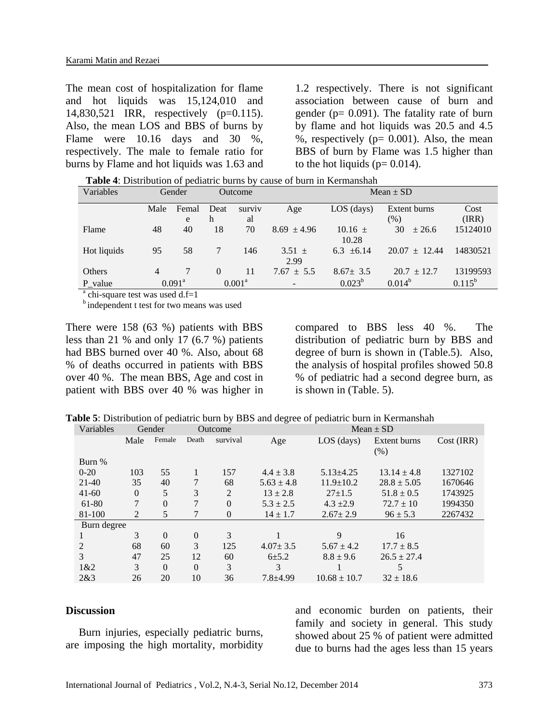The mean cost of hospitalization for flame and hot liquids was 15,124,010 and 14,830,521 IRR, respectively (p=0.115). Also, the mean LOS and BBS of burns by Flame were 10.16 days and 30 %, respectively. The male to female ratio for burns by Flame and hot liquids was 1.63 and

1.2 respectively. There is not significant association between cause of burn and gender ( $p = 0.091$ ). The fatality rate of burn by flame and hot liquids was 20.5 and 4.5 %, respectively ( $p= 0.001$ ). Also, the mean BBS of burn by Flame was 1.5 higher than to the hot liquids ( $p= 0.014$ ).

 **Table 4**: Distribution of pediatric burns by cause of burn in Kermanshah

| Variables   | Gender |                 | <b>Outcome</b> |                    | Mean $\pm$ SD            |                |                   |             |
|-------------|--------|-----------------|----------------|--------------------|--------------------------|----------------|-------------------|-------------|
|             | Male   | Femal           | Deat           | surviv             | Age                      | $LOS$ (days)   | Extent burns      | Cost        |
|             |        | e               | h              | al                 |                          |                | (%)               | (IRR)       |
| Flame       | 48     | 40              | 18             | 70                 | $8.69 \pm 4.96$          | $10.16 \pm$    | 30<br>± 26.6      | 15124010    |
|             |        |                 |                |                    |                          | 10.28          |                   |             |
| Hot liquids | 95     | 58              |                | 146                | $3.51 \pm$               | 6.3 $\pm 6.14$ | $20.07 \pm 12.44$ | 14830521    |
|             |        |                 |                |                    | 2.99                     |                |                   |             |
| Others      | 4      |                 | $\Omega$       | 11                 | $7.67 \pm 5.5$           | $8.67 \pm 3.5$ | $20.7 \pm 12.7$   | 13199593    |
| P value     |        | $0.091^{\rm a}$ |                | $0.001^{\text{a}}$ | $\overline{\phantom{0}}$ | $0.023^b$      | $0.014^{b}$       | $0.115^{b}$ |

<sup>a</sup> chi-square test was used d.f=1

**b** independent t test for two means was used

There were 158 (63 %) patients with BBS less than 21 % and only 17 (6.7 %) patients had BBS burned over 40 %. Also, about 68 % of deaths occurred in patients with BBS over 40 %. The mean BBS, Age and cost in patient with BBS over 40 % was higher in

compared to BBS less 40 %. The distribution of pediatric burn by BBS and degree of burn is shown in (Table.5). Also, the analysis of hospital profiles showed 50.8 % of pediatric had a second degree burn, as is shown in (Table. 5).

**Table 5**: Distribution of pediatric burn by BBS and degree of pediatric burn in Kermanshah

| Variables   |          | Gender   |                | Outcome        | $Mean \pm SD$  |                  |                 |            |
|-------------|----------|----------|----------------|----------------|----------------|------------------|-----------------|------------|
|             | Male     | Female   | Death          | survival       | Age            | $LOS$ (days)     | Extent burns    | Cost (IRR) |
|             |          |          |                |                |                |                  | (% )            |            |
| Burn %      |          |          |                |                |                |                  |                 |            |
| $0 - 20$    | 103      | 55       | 1              | 157            | $4.4 \pm 3.8$  | $5.13 \pm 4.25$  | $13.14 \pm 4.8$ | 1327102    |
| $21-40$     | 35       | 40       | 7              | 68             | $5.63 \pm 4.8$ | $11.9 \pm 10.2$  | $28.8 \pm 5.05$ | 1670646    |
| $41 - 60$   | $\Omega$ | 5        | 3              | $\overline{2}$ | $13 \pm 2.8$   | $27 \pm 1.5$     | $51.8 \pm 0.5$  | 1743925    |
| 61-80       | 7        | $\theta$ | 7              | $\theta$       | $5.3 \pm 2.5$  | $4.3 \pm 2.9$    | $72.7 \pm 10$   | 1994350    |
| 81-100      | 2        | 5        | 7              | $\theta$       | $14 \pm 1.7$   | $2.67 \pm 2.9$   | $96 \pm 5.3$    | 2267432    |
| Burn degree |          |          |                |                |                |                  |                 |            |
|             | 3        | $\Omega$ | $\theta$       | 3              |                | 9                | 16              |            |
| 2           | 68       | 60       | 3              | 125            | $4.07 \pm 3.5$ | $5.67 \pm 4.2$   | $17.7 \pm 8.5$  |            |
| 3           | 47       | 25       | 12             | 60             | $6 + 5.2$      | $8.8 \pm 9.6$    | $26.5 \pm 27.4$ |            |
| 1&2         | 3        | $\Omega$ | $\overline{0}$ | 3              | 3              |                  | 5               |            |
| 2&3         | 26       | 20       | 10             | 36             | $7.8 + 4.99$   | $10.68 \pm 10.7$ | $32 \pm 18.6$   |            |

### **Discussion**

Burn injuries, especially pediatric burns, are imposing the high mortality, morbidity and economic burden on patients, their family and society in general. This study showed about 25 % of patient were admitted due to burns had the ages less than 15 years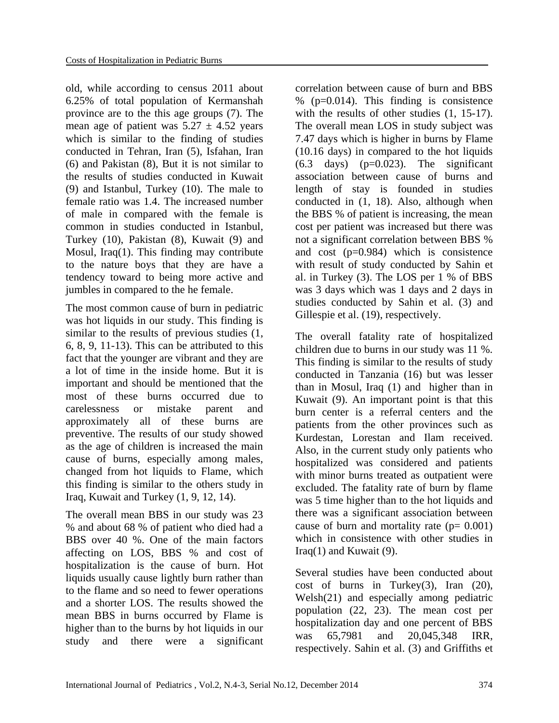old, while according to census 2011 about 6.25% of total population of Kermanshah province are to the this age groups [\(7\)](#page-6-6). The mean age of patient was  $5.27 \pm 4.52$  years which is similar to the finding of studies conducted in Tehran, Iran [\(5\)](#page-6-4), Isfahan, Iran [\(6\)](#page-6-5) and Pakistan [\(8\)](#page-6-7), But it is not similar to the results of studies conducted in Kuwait [\(9\)](#page-7-0) and Istanbul, Turkey [\(10\)](#page-7-1). The male to female ratio was 1.4. The increased number of male in compared with the female is common in studies conducted in Istanbul, Turkey [\(10\)](#page-7-1), Pakistan [\(8\)](#page-6-7), Kuwait [\(9\)](#page-7-0) and Mosul, Iraq[\(1\)](#page-6-0). This finding may contribute to the nature boys that they are have a tendency toward to being more active and jumbles in compared to the he female.

The most common cause of burn in pediatric was hot liquids in our study. This finding is similar to the results of previous studies [\(1,](#page-6-0) [6,](#page-6-5) [8,](#page-6-7) [9,](#page-7-0) [11-13\)](#page-7-2). This can be attributed to this fact that the younger are vibrant and they are a lot of time in the inside home. But it is important and should be mentioned that the most of these burns occurred due to carelessness or mistake parent and approximately all of these burns are preventive. The results of our study showed as the age of children is increased the main cause of burns, especially among males, changed from hot liquids to Flame, which this finding is similar to the others study in Iraq, Kuwait and Turkey [\(1,](#page-6-0) [9,](#page-7-0) [12,](#page-7-3) [14\)](#page-7-4).

The overall mean BBS in our study was 23 % and about 68 % of patient who died had a BBS over 40 %. One of the main factors affecting on LOS, BBS % and cost of hospitalization is the cause of burn. Hot liquids usually cause lightly burn rather than to the flame and so need to fewer operations and a shorter LOS. The results showed the mean BBS in burns occurred by Flame is higher than to the burns by hot liquids in our study and there were a significant

correlation between cause of burn and BBS  $%$  (p=0.014). This finding is consistence with the results of other studies  $(1, 15-17)$  $(1, 15-17)$ . The overall mean LOS in study subject was 7.47 days which is higher in burns by Flame (10.16 days) in compared to the hot liquids  $(6.3 \text{ days})$   $(p=0.023)$ . The significant association between cause of burns and length of stay is founded in studies conducted in [\(1,](#page-6-0) [18\)](#page-7-6). Also, although when the BBS % of patient is increasing, the mean cost per patient was increased but there was not a significant correlation between BBS % and cost (p=0.984) which is consistence with result of study conducted by Sahin et al. in Turkey [\(3\)](#page-6-2). The LOS per 1 % of BBS was 3 days which was 1 days and 2 days in studies conducted by Sahin et al. [\(3\)](#page-6-2) and Gillespie et al. [\(19\)](#page-7-7), respectively.

The overall fatality rate of hospitalized children due to burns in our study was 11 %. This finding is similar to the results of study conducted in Tanzania [\(16\)](#page-7-8) but was lesser than in Mosul, Iraq [\(1\)](#page-6-0) and higher than in Kuwait [\(9\)](#page-7-0). An important point is that this burn center is a referral centers and the patients from the other provinces such as Kurdestan, Lorestan and Ilam received. Also, in the current study only patients who hospitalized was considered and patients with minor burns treated as outpatient were excluded. The fatality rate of burn by flame was 5 time higher than to the hot liquids and there was a significant association between cause of burn and mortality rate  $(p= 0.001)$ which in consistence with other studies in  $Iraq(1)$  $Iraq(1)$  and Kuwait [\(9\)](#page-7-0).

Several studies have been conducted about cost of burns in Turkey $(3)$ , Iran  $(20)$ , Welsh[\(21\)](#page-7-10) and especially among pediatric population [\(22,](#page-7-11) [23\)](#page-7-12). The mean cost per hospitalization day and one percent of BBS was 65,7981 and 20,045,348 IRR, respectively. Sahin et al. [\(3\)](#page-6-2) and Griffiths et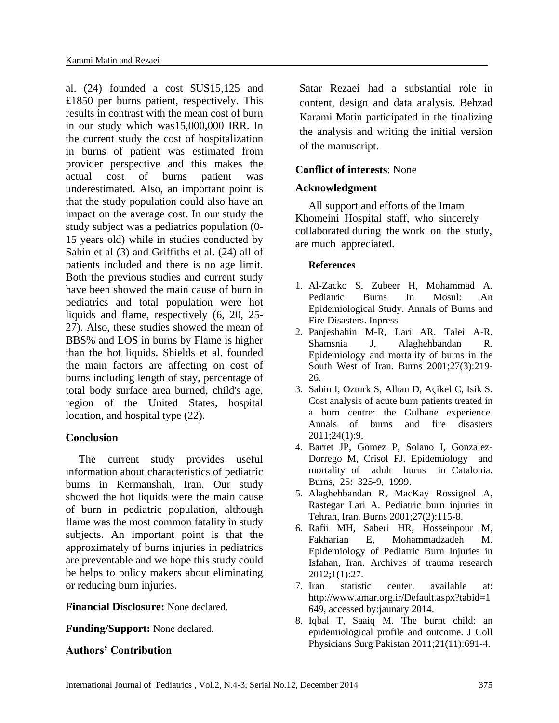al. [\(24\)](#page-7-13) founded a cost \$US15,125 and £1850 per burns patient, respectively. This results in contrast with the mean cost of burn in our study which was15,000,000 IRR. In the current study the cost of hospitalization in burns of patient was estimated from provider perspective and this makes the actual cost of burns patient was underestimated. Also, an important point is that the study population could also have an impact on the average cost. In our study the study subject was a pediatrics population (0- 15 years old) while in studies conducted by Sahin et al [\(3\)](#page-6-2) and Griffiths et al. [\(24\)](#page-7-13) all of patients included and there is no age limit. Both the previous studies and current study have been showed the main cause of burn in pediatrics and total population were hot liquids and flame, respectively [\(6,](#page-6-5) [20,](#page-7-9) [25-](#page-7-14) [27\)](#page-7-14). Also, these studies showed the mean of BBS% and LOS in burns by Flame is higher than the hot liquids. Shields et al. founded the main factors are affecting on cost of burns including length of stay, percentage of total body surface area burned, child's age, region of the United States, hospital location, and hospital type [\(22\)](#page-7-11).

# **Conclusion**

The current study provides useful information about characteristics of pediatric burns in Kermanshah, Iran. Our study showed the hot liquids were the main cause of burn in pediatric population, although flame was the most common fatality in study subjects. An important point is that the approximately of burns injuries in pediatrics are preventable and we hope this study could be helps to policy makers about eliminating or reducing burn injuries.

**Financial Disclosure:** None declared.

**Funding/Support:** None declared.

# **Authors' Contribution**

Satar Rezaei had a substantial role in content, design and data analysis. Behzad Karami Matin participated in the finalizing the analysis and writing the initial version of the manuscript.

# **Conflict of interests**: None

# **Acknowledgment**

All support and efforts of the Imam Khomeini Hospital staff, who sincerely collaborated during the work on the study, are much appreciated.

## <span id="page-6-1"></span>**References**

- <span id="page-6-0"></span>1. Al-Zacko S, Zubeer H, Mohammad A. Pediatric Burns In Mosul: An Epidemiological Study. Annals of Burns and Fire Disasters. Inpress
- 2. Panjeshahin M-R, Lari AR, Talei A-R, Shamsnia J, Alaghehbandan R. Epidemiology and mortality of burns in the South West of Iran. Burns 2001;27(3):219- 26.
- <span id="page-6-2"></span>3. Sahin I, Ozturk S, Alhan D, Açikel C, Isik S. Cost analysis of acute burn patients treated in a burn centre: the Gulhane experience. Annals of burns and fire disasters 2011;24(1):9.
- <span id="page-6-3"></span>4. Barret JP, Gomez P, Solano I, Gonzalez-Dorrego M, Crisol FJ. Epidemiology and mortality of adult burns in Catalonia. Burns, 25: 325-9, 1999.
- <span id="page-6-4"></span>5. Alaghehbandan R, MacKay Rossignol A, Rastegar Lari A. Pediatric burn injuries in Tehran, Iran. Burns 2001;27(2):115-8.
- <span id="page-6-5"></span>6. Rafii MH, Saberi HR, Hosseinpour M, Fakharian E, Mohammadzadeh M. Epidemiology of Pediatric Burn Injuries in Isfahan, Iran. Archives of trauma research 2012;1(1):27.
- <span id="page-6-6"></span>7. Iran statistic center, available at: [http://www.amar.org.ir/Default.aspx?tabid=1](http://www.amar.org.ir/Default.aspx?tabid=1649) [649,](http://www.amar.org.ir/Default.aspx?tabid=1649) accessed by:jaunary 2014.
- <span id="page-6-7"></span>8. Iqbal T, Saaiq M. The burnt child: an epidemiological profile and outcome. J Coll Physicians Surg Pakistan 2011;21(11):691-4.